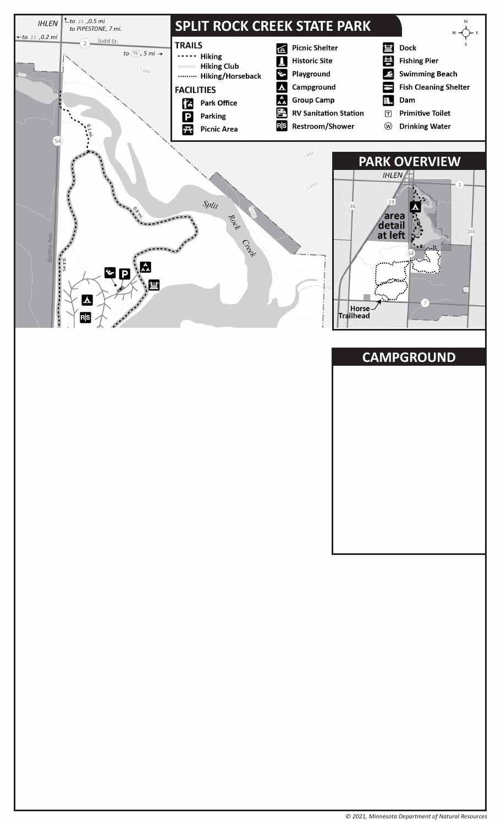# **SPLIT ROCK CREEK STATE PARK**

# **PARK OVERVIEW**

**CAMPGROUND**